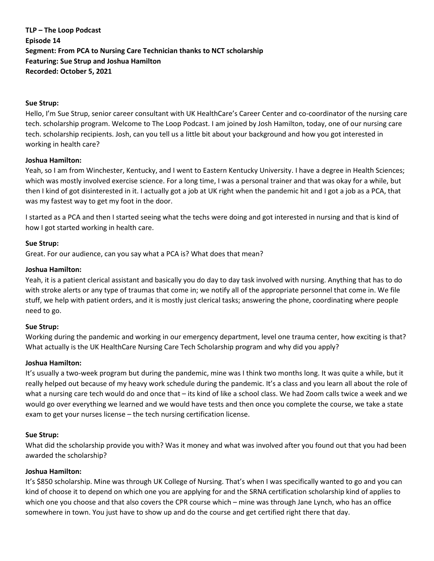**TLP – The Loop Podcast Episode 14 Segment: From PCA to Nursing Care Technician thanks to NCT scholarship Featuring: Sue Strup and Joshua Hamilton Recorded: October 5, 2021**

### **Sue Strup:**

Hello, I'm Sue Strup, senior career consultant with UK HealthCare's Career Center and co-coordinator of the nursing care tech. scholarship program. Welcome to The Loop Podcast. I am joined by Josh Hamilton, today, one of our nursing care tech. scholarship recipients. Josh, can you tell us a little bit about your background and how you got interested in working in health care?

### **Joshua Hamilton:**

Yeah, so I am from Winchester, Kentucky, and I went to Eastern Kentucky University. I have a degree in Health Sciences; which was mostly involved exercise science. For a long time, I was a personal trainer and that was okay for a while, but then I kind of got disinterested in it. I actually got a job at UK right when the pandemic hit and I got a job as a PCA, that was my fastest way to get my foot in the door.

I started as a PCA and then I started seeing what the techs were doing and got interested in nursing and that is kind of how I got started working in health care.

## **Sue Strup:**

Great. For our audience, can you say what a PCA is? What does that mean?

## **Joshua Hamilton:**

Yeah, it is a patient clerical assistant and basically you do day to day task involved with nursing. Anything that has to do with stroke alerts or any type of traumas that come in; we notify all of the appropriate personnel that come in. We file stuff, we help with patient orders, and it is mostly just clerical tasks; answering the phone, coordinating where people need to go.

# **Sue Strup:**

Working during the pandemic and working in our emergency department, level one trauma center, how exciting is that? What actually is the UK HealthCare Nursing Care Tech Scholarship program and why did you apply?

### **Joshua Hamilton:**

It's usually a two-week program but during the pandemic, mine was I think two months long. It was quite a while, but it really helped out because of my heavy work schedule during the pandemic. It's a class and you learn all about the role of what a nursing care tech would do and once that – its kind of like a school class. We had Zoom calls twice a week and we would go over everything we learned and we would have tests and then once you complete the course, we take a state exam to get your nurses license – the tech nursing certification license.

# **Sue Strup:**

What did the scholarship provide you with? Was it money and what was involved after you found out that you had been awarded the scholarship?

# **Joshua Hamilton:**

It's \$850 scholarship. Mine was through UK College of Nursing. That's when I was specifically wanted to go and you can kind of choose it to depend on which one you are applying for and the SRNA certification scholarship kind of applies to which one you choose and that also covers the CPR course which – mine was through Jane Lynch, who has an office somewhere in town. You just have to show up and do the course and get certified right there that day.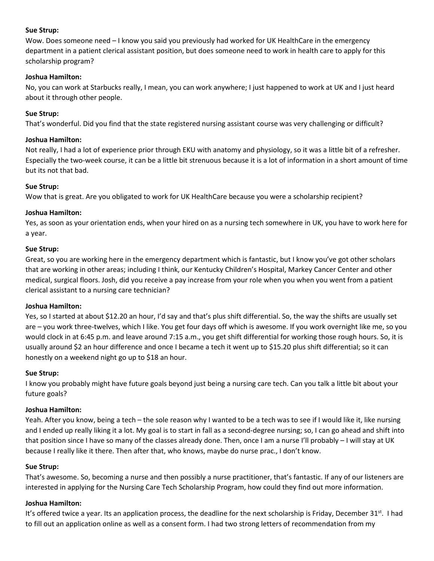### **Sue Strup:**

Wow. Does someone need – I know you said you previously had worked for UK HealthCare in the emergency department in a patient clerical assistant position, but does someone need to work in health care to apply for this scholarship program?

# **Joshua Hamilton:**

No, you can work at Starbucks really, I mean, you can work anywhere; I just happened to work at UK and I just heard about it through other people.

## **Sue Strup:**

That's wonderful. Did you find that the state registered nursing assistant course was very challenging or difficult?

### **Joshua Hamilton:**

Not really, I had a lot of experience prior through EKU with anatomy and physiology, so it was a little bit of a refresher. Especially the two-week course, it can be a little bit strenuous because it is a lot of information in a short amount of time but its not that bad.

## **Sue Strup:**

Wow that is great. Are you obligated to work for UK HealthCare because you were a scholarship recipient?

## **Joshua Hamilton:**

Yes, as soon as your orientation ends, when your hired on as a nursing tech somewhere in UK, you have to work here for a year.

## **Sue Strup:**

Great, so you are working here in the emergency department which is fantastic, but I know you've got other scholars that are working in other areas; including I think, our Kentucky Children's Hospital, Markey Cancer Center and other medical, surgical floors. Josh, did you receive a pay increase from your role when you when you went from a patient clerical assistant to a nursing care technician?

# **Joshua Hamilton:**

Yes, so I started at about \$12.20 an hour, I'd say and that's plus shift differential. So, the way the shifts are usually set are – you work three-twelves, which I like. You get four days off which is awesome. If you work overnight like me, so you would clock in at 6:45 p.m. and leave around 7:15 a.m., you get shift differential for working those rough hours. So, it is usually around \$2 an hour difference and once I became a tech it went up to \$15.20 plus shift differential; so it can honestly on a weekend night go up to \$18 an hour.

# **Sue Strup:**

I know you probably might have future goals beyond just being a nursing care tech. Can you talk a little bit about your future goals?

# **Joshua Hamilton:**

Yeah. After you know, being a tech – the sole reason why I wanted to be a tech was to see if I would like it, like nursing and I ended up really liking it a lot. My goal is to start in fall as a second-degree nursing; so, I can go ahead and shift into that position since I have so many of the classes already done. Then, once I am a nurse I'll probably – I will stay at UK because I really like it there. Then after that, who knows, maybe do nurse prac., I don't know.

### **Sue Strup:**

That's awesome. So, becoming a nurse and then possibly a nurse practitioner, that's fantastic. If any of our listeners are interested in applying for the Nursing Care Tech Scholarship Program, how could they find out more information.

# **Joshua Hamilton:**

It's offered twice a year. Its an application process, the deadline for the next scholarship is Friday, December 31<sup>st</sup>. I had to fill out an application online as well as a consent form. I had two strong letters of recommendation from my